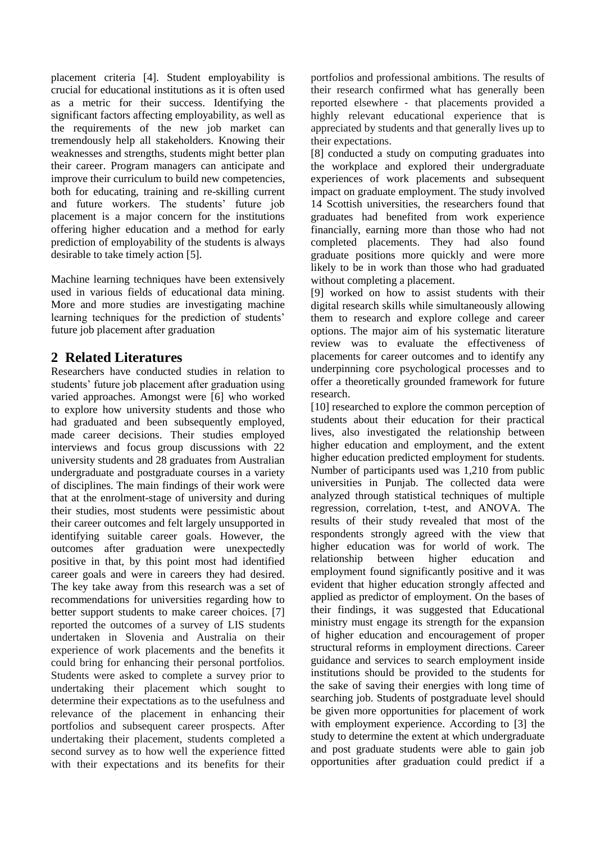placement criteria [4]. Student employability is crucial for educational institutions as it is often used as a metric for their success. Identifying the significant factors affecting employability, as well as the requirements of the new job market can tremendously help all stakeholders. Knowing their weaknesses and strengths, students might better plan their career. Program managers can anticipate and improve their curriculum to build new competencies, both for educating, training and re-skilling current and future workers. The students' future job placement is a major concern for the institutions offering higher education and a method for early prediction of employability of the students is always desirable to take timely action [5].

Machine learning techniques have been extensively used in various fields of educational data mining. More and more studies are investigating machine learning techniques for the prediction of students' future job placement after graduation

### **2 Related Literatures**

Researchers have conducted studies in relation to students' future job placement after graduation using varied approaches. Amongst were [6] who worked to explore how university students and those who had graduated and been subsequently employed, made career decisions. Their studies employed interviews and focus group discussions with 22 university students and 28 graduates from Australian undergraduate and postgraduate courses in a variety of disciplines. The main findings of their work were that at the enrolment-stage of university and during their studies, most students were pessimistic about their career outcomes and felt largely unsupported in identifying suitable career goals. However, the outcomes after graduation were unexpectedly positive in that, by this point most had identified career goals and were in careers they had desired. The key take away from this research was a set of recommendations for universities regarding how to better support students to make career choices. [7] reported the outcomes of a survey of LIS students undertaken in Slovenia and Australia on their experience of work placements and the benefits it could bring for enhancing their personal portfolios. Students were asked to complete a survey prior to undertaking their placement which sought to determine their expectations as to the usefulness and relevance of the placement in enhancing their portfolios and subsequent career prospects. After undertaking their placement, students completed a second survey as to how well the experience fitted with their expectations and its benefits for their portfolios and professional ambitions. The results of their research confirmed what has generally been reported elsewhere ‐ that placements provided a highly relevant educational experience that is appreciated by students and that generally lives up to their expectations.

[8] conducted a study on computing graduates into the workplace and explored their undergraduate experiences of work placements and subsequent impact on graduate employment. The study involved 14 Scottish universities, the researchers found that graduates had benefited from work experience financially, earning more than those who had not completed placements. They had also found graduate positions more quickly and were more likely to be in work than those who had graduated without completing a placement.

[9] worked on how to assist students with their digital research skills while simultaneously allowing them to research and explore college and career options. The major aim of his systematic literature review was to evaluate the effectiveness of placements for career outcomes and to identify any underpinning core psychological processes and to offer a theoretically grounded framework for future research.

[10] researched to explore the common perception of students about their education for their practical lives, also investigated the relationship between higher education and employment, and the extent higher education predicted employment for students. Number of participants used was 1,210 from public universities in Punjab. The collected data were analyzed through statistical techniques of multiple regression, correlation, t-test, and ANOVA. The results of their study revealed that most of the respondents strongly agreed with the view that higher education was for world of work. The relationship between higher education and employment found significantly positive and it was evident that higher education strongly affected and applied as predictor of employment. On the bases of their findings, it was suggested that Educational ministry must engage its strength for the expansion of higher education and encouragement of proper structural reforms in employment directions. Career guidance and services to search employment inside institutions should be provided to the students for the sake of saving their energies with long time of searching job. Students of postgraduate level should be given more opportunities for placement of work with employment experience. According to [3] the study to determine the extent at which undergraduate and post graduate students were able to gain job opportunities after graduation could predict if a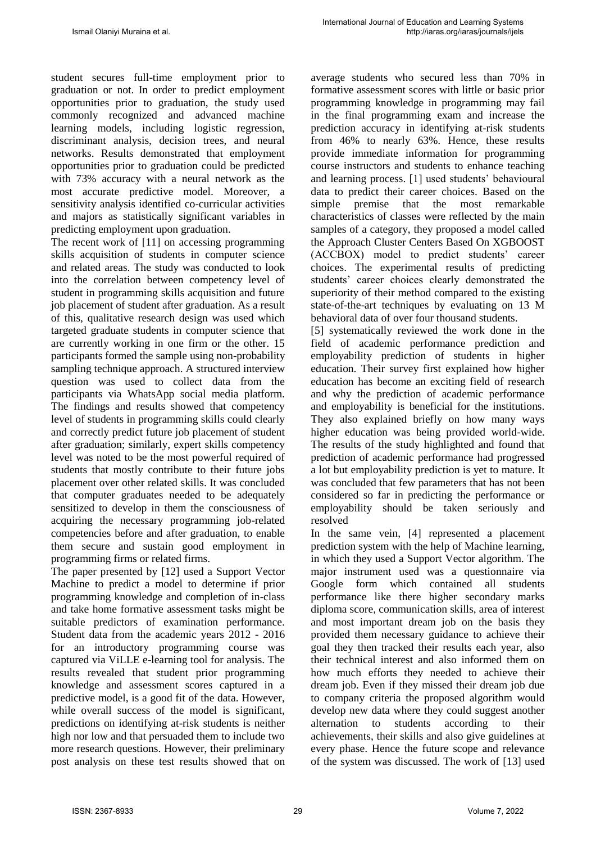student secures full-time employment prior to graduation or not. In order to predict employment opportunities prior to graduation, the study used commonly recognized and advanced machine learning models, including logistic regression, discriminant analysis, decision trees, and neural networks. Results demonstrated that employment opportunities prior to graduation could be predicted with 73% accuracy with a neural network as the most accurate predictive model. Moreover, a sensitivity analysis identified co-curricular activities and majors as statistically significant variables in predicting employment upon graduation.

The recent work of [11] on accessing programming skills acquisition of students in computer science and related areas. The study was conducted to look into the correlation between competency level of student in programming skills acquisition and future job placement of student after graduation. As a result of this, qualitative research design was used which targeted graduate students in computer science that are currently working in one firm or the other. 15 participants formed the sample using non-probability sampling technique approach. A structured interview question was used to collect data from the participants via WhatsApp social media platform. The findings and results showed that competency level of students in programming skills could clearly and correctly predict future job placement of student after graduation; similarly, expert skills competency level was noted to be the most powerful required of students that mostly contribute to their future jobs placement over other related skills. It was concluded that computer graduates needed to be adequately sensitized to develop in them the consciousness of acquiring the necessary programming job-related competencies before and after graduation, to enable them secure and sustain good employment in programming firms or related firms.

The paper presented by [12] used a Support Vector Machine to predict a model to determine if prior programming knowledge and completion of in-class and take home formative assessment tasks might be suitable predictors of examination performance. Student data from the academic years 2012 - 2016 for an introductory programming course was captured via ViLLE e-learning tool for analysis. The results revealed that student prior programming knowledge and assessment scores captured in a predictive model, is a good fit of the data. However, while overall success of the model is significant, predictions on identifying at-risk students is neither high nor low and that persuaded them to include two more research questions. However, their preliminary post analysis on these test results showed that on

average students who secured less than 70% in formative assessment scores with little or basic prior programming knowledge in programming may fail in the final programming exam and increase the prediction accuracy in identifying at-risk students from 46% to nearly 63%. Hence, these results provide immediate information for programming course instructors and students to enhance teaching and learning process. [1] used students' behavioural data to predict their career choices. Based on the simple premise that the most remarkable characteristics of classes were reflected by the main samples of a category, they proposed a model called the Approach Cluster Centers Based On XGBOOST (ACCBOX) model to predict students' career choices. The experimental results of predicting students' career choices clearly demonstrated the superiority of their method compared to the existing state-of-the-art techniques by evaluating on 13 M behavioral data of over four thousand students.

[5] systematically reviewed the work done in the field of academic performance prediction and employability prediction of students in higher education. Their survey first explained how higher education has become an exciting field of research and why the prediction of academic performance and employability is beneficial for the institutions. They also explained briefly on how many ways higher education was being provided world-wide. The results of the study highlighted and found that prediction of academic performance had progressed a lot but employability prediction is yet to mature. It was concluded that few parameters that has not been considered so far in predicting the performance or employability should be taken seriously and resolved

In the same vein, [4] represented a placement prediction system with the help of Machine learning, in which they used a Support Vector algorithm. The major instrument used was a questionnaire via Google form which contained all students performance like there higher secondary marks diploma score, communication skills, area of interest and most important dream job on the basis they provided them necessary guidance to achieve their goal they then tracked their results each year, also their technical interest and also informed them on how much efforts they needed to achieve their dream job. Even if they missed their dream job due to company criteria the proposed algorithm would develop new data where they could suggest another alternation to students according to their achievements, their skills and also give guidelines at every phase. Hence the future scope and relevance of the system was discussed. The work of [13] used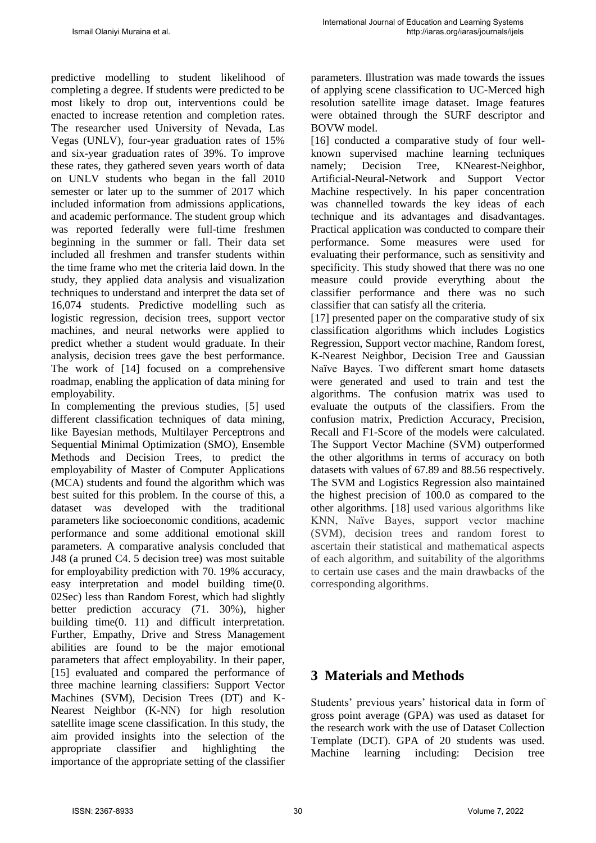predictive modelling to student likelihood of completing a degree. If students were predicted to be most likely to drop out, interventions could be enacted to increase retention and completion rates. The researcher used University of Nevada, Las Vegas (UNLV), four-year graduation rates of 15% and six-year graduation rates of 39%. To improve these rates, they gathered seven years worth of data on UNLV students who began in the fall 2010 semester or later up to the summer of 2017 which included information from admissions applications, and academic performance. The student group which was reported federally were full-time freshmen beginning in the summer or fall. Their data set included all freshmen and transfer students within the time frame who met the criteria laid down. In the study, they applied data analysis and visualization techniques to understand and interpret the data set of 16,074 students. Predictive modelling such as logistic regression, decision trees, support vector machines, and neural networks were applied to predict whether a student would graduate. In their analysis, decision trees gave the best performance. The work of [14] focused on a comprehensive roadmap, enabling the application of data mining for employability.

In complementing the previous studies, [5] used different classification techniques of data mining, like Bayesian methods, Multilayer Perceptrons and Sequential Minimal Optimization (SMO), Ensemble Methods and Decision Trees, to predict the employability of Master of Computer Applications (MCA) students and found the algorithm which was best suited for this problem. In the course of this, a dataset was developed with the traditional parameters like socioeconomic conditions, academic performance and some additional emotional skill parameters. A comparative analysis concluded that J48 (a pruned C4. 5 decision tree) was most suitable for employability prediction with 70. 19% accuracy, easy interpretation and model building time(0. 02Sec) less than Random Forest, which had slightly better prediction accuracy (71. 30%), higher building time(0. 11) and difficult interpretation. Further, Empathy, Drive and Stress Management abilities are found to be the major emotional parameters that affect employability. In their paper, [15] evaluated and compared the performance of three machine learning classifiers: Support Vector Machines (SVM), Decision Trees (DT) and K-Nearest Neighbor (K-NN) for high resolution satellite image scene classification. In this study, the aim provided insights into the selection of the appropriate classifier and highlighting the importance of the appropriate setting of the classifier

parameters. Illustration was made towards the issues of applying scene classification to UC-Merced high resolution satellite image dataset. Image features were obtained through the SURF descriptor and BOVW model.

[16] conducted a comparative study of four wellknown supervised machine learning techniques namely; Decision Tree, KNearest-Neighbor, Artificial-Neural-Network and Support Vector Machine respectively. In his paper concentration was channelled towards the key ideas of each technique and its advantages and disadvantages. Practical application was conducted to compare their performance. Some measures were used for evaluating their performance, such as sensitivity and specificity. This study showed that there was no one measure could provide everything about the classifier performance and there was no such classifier that can satisfy all the criteria.

[17] presented paper on the comparative study of six classification algorithms which includes Logistics Regression, Support vector machine, Random forest, K-Nearest Neighbor, Decision Tree and Gaussian Naïve Bayes. Two different smart home datasets were generated and used to train and test the algorithms. The confusion matrix was used to evaluate the outputs of the classifiers. From the confusion matrix, Prediction Accuracy, Precision, Recall and F1-Score of the models were calculated. The Support Vector Machine (SVM) outperformed the other algorithms in terms of accuracy on both datasets with values of 67.89 and 88.56 respectively. The SVM and Logistics Regression also maintained the highest precision of 100.0 as compared to the other algorithms. [18] used various algorithms like KNN, Naïve Bayes, support vector machine (SVM), decision trees and random forest to ascertain their statistical and mathematical aspects of each algorithm, and suitability of the algorithms to certain use cases and the main drawbacks of the corresponding algorithms.

# **3 Materials and Methods**

Students' previous years' historical data in form of gross point average (GPA) was used as dataset for the research work with the use of Dataset Collection Template (DCT). GPA of 20 students was used. Machine learning including: Decision tree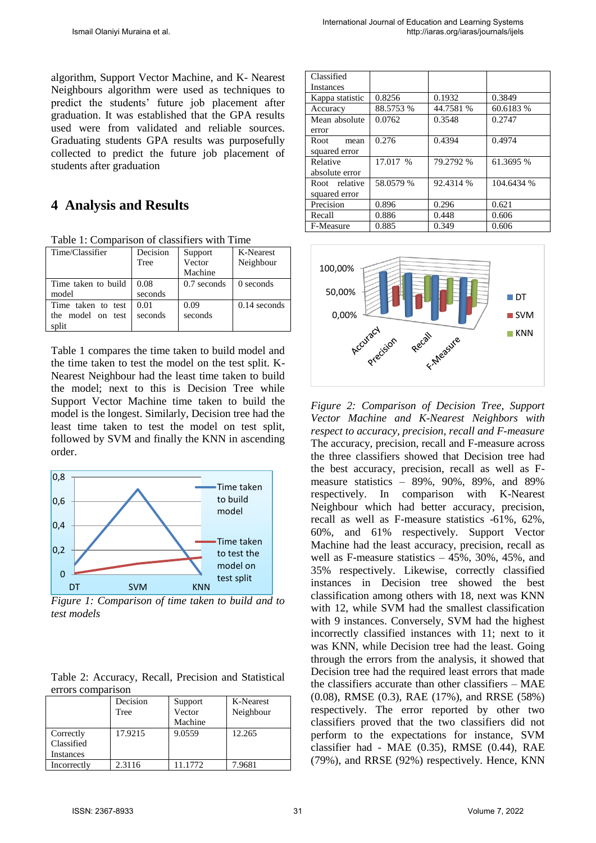algorithm, Support Vector Machine, and K- Nearest Neighbours algorithm were used as techniques to predict the students' future job placement after graduation. It was established that the GPA results used were from validated and reliable sources. Graduating students GPA results was purposefully collected to predict the future job placement of students after graduation

## **4 Analysis and Results**

|  | Table 1: Comparison of classifiers with Time |  |  |  |
|--|----------------------------------------------|--|--|--|
|  |                                              |  |  |  |

| Time/Classifier     | Decision | Support       | K-Nearest      |  |
|---------------------|----------|---------------|----------------|--|
|                     | Tree     | Vector        | Neighbour      |  |
|                     |          | Machine       |                |  |
| Time taken to build | 0.08     | $0.7$ seconds | 0 seconds      |  |
| model               | seconds  |               |                |  |
| Time taken to test  | 0.01     | 0.09          | $0.14$ seconds |  |
| the model on test   | seconds  | seconds       |                |  |
| split               |          |               |                |  |

Table 1 compares the time taken to build model and the time taken to test the model on the test split. K-Nearest Neighbour had the least time taken to build the model; next to this is Decision Tree while Support Vector Machine time taken to build the model is the longest. Similarly, Decision tree had the least time taken to test the model on test split, followed by SVM and finally the KNN in ascending order.



*Figure 1: Comparison of time taken to build and to test models* 

|  | Table 2: Accuracy, Recall, Precision and Statistical |  |  |
|--|------------------------------------------------------|--|--|
|  | errors comparison                                    |  |  |

|             | Decision | Support | K-Nearest |  |
|-------------|----------|---------|-----------|--|
|             | Tree     | Vector  | Neighbour |  |
|             |          | Machine |           |  |
| Correctly   | 17.9215  | 9.0559  | 12.265    |  |
| Classified  |          |         |           |  |
| Instances   |          |         |           |  |
| Incorrectly | 2.3116   | 11.1772 | 7.9681    |  |

| Classified       |           |           |            |  |
|------------------|-----------|-----------|------------|--|
| <b>Instances</b> |           |           |            |  |
| Kappa statistic  | 0.8256    | 0.1932    | 0.3849     |  |
| Accuracy         | 88.5753 % | 44.7581 % | 60.6183 %  |  |
| Mean absolute    | 0.0762    | 0.3548    | 0.2747     |  |
| error            |           |           |            |  |
| Root<br>mean     | 0.276     | 0.4394    | 0.4974     |  |
| squared error    |           |           |            |  |
| Relative         | 17.017 %  | 79.2792 % | 61.3695 %  |  |
| absolute error   |           |           |            |  |
| Root relative    | 58.0579 % | 92.4314 % | 104.6434 % |  |
| squared error    |           |           |            |  |
| Precision        | 0.896     | 0.296     | 0.621      |  |
| Recall           | 0.886     | 0.448     | 0.606      |  |
| F-Measure        | 0.885     | 0.349     | 0.606      |  |



*Figure 2: Comparison of Decision Tree, Support Vector Machine and K-Nearest Neighbors with respect to accuracy, precision, recall and F-measure*  The accuracy, precision, recall and F-measure across the three classifiers showed that Decision tree had the best accuracy, precision, recall as well as Fmeasure statistics – 89%, 90%, 89%, and 89% respectively. In comparison with K-Nearest Neighbour which had better accuracy, precision, recall as well as F-measure statistics -61%, 62%, 60%, and 61% respectively. Support Vector Machine had the least accuracy, precision, recall as well as F-measure statistics – 45%, 30%, 45%, and 35% respectively. Likewise, correctly classified instances in Decision tree showed the best classification among others with 18, next was KNN with 12, while SVM had the smallest classification with 9 instances. Conversely, SVM had the highest incorrectly classified instances with 11; next to it was KNN, while Decision tree had the least. Going through the errors from the analysis, it showed that Decision tree had the required least errors that made the classifiers accurate than other classifiers – MAE (0.08), RMSE (0.3), RAE (17%), and RRSE (58%) respectively. The error reported by other two classifiers proved that the two classifiers did not perform to the expectations for instance, SVM classifier had - MAE (0.35), RMSE (0.44), RAE (79%), and RRSE (92%) respectively. Hence, KNN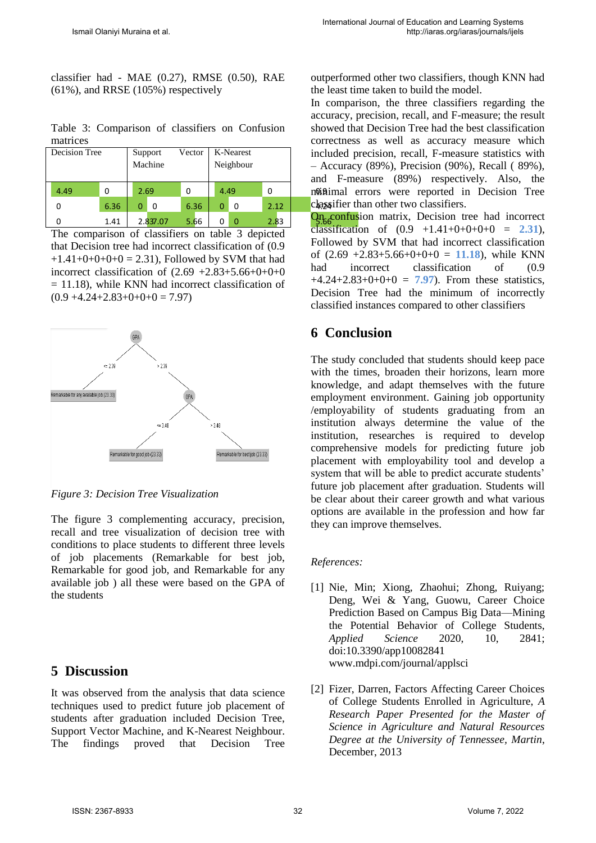classifier had - MAE (0.27), RMSE (0.50), RAE (61%), and RRSE (105%) respectively

Table 3: Comparison of classifiers on Confusion matrices

| Decision Tree |      |      | Vector<br>Support<br>Machine |          |      |           | K-Nearest | inclu |        |
|---------------|------|------|------------------------------|----------|------|-----------|-----------|-------|--------|
|               |      |      |                              |          |      | Neighbour |           |       | $-$ Ac |
|               |      |      |                              |          |      |           |           |       | and    |
|               | 4.49 | 0    |                              | 2.69     |      |           | 4.49      | 0     | noinai |
|               |      | 6.36 | 0                            | 0        | 6.36 | 0         | 0         | 2.12  | chasa  |
|               |      | 1.41 |                              | 2.837.07 | 5.66 |           |           | 2.83  |        |

The comparison of classifiers on table 3 depicted that Decision tree had incorrect classification of (0.9  $+1.41+0+0+0+0 = 2.31$ . Followed by SVM that had incorrect classification of  $(2.69 +2.83+5.66+0+0+0)$  $= 11.18$ ), while KNN had incorrect classification of  $(0.9 +4.24 +2.83 +0+0+0=7.97)$ 



*Figure 3: Decision Tree Visualization* 

The figure 3 complementing accuracy, precision, recall and tree visualization of decision tree with conditions to place students to different three levels of job placements (Remarkable for best job, Remarkable for good job, and Remarkable for any available job ) all these were based on the GPA of the students

# **5 Discussion**

It was observed from the analysis that data science techniques used to predict future job placement of students after graduation included Decision Tree, Support Vector Machine, and K-Nearest Neighbour. The findings proved that Decision Tree

outperformed other two classifiers, though KNN had the least time taken to build the model.

4.49 0 | muissimal errors were reported in Decision Tree 0 2.12 4.24 classifier than other two classifiers. In comparison, the three classifiers regarding the accuracy, precision, recall, and F-measure; the result showed that Decision Tree had the best classification correctness as well as accuracy measure which included precision, recall, F-measure statistics with – Accuracy (89%), Precision (90%), Recall ( 89%), and F-measure (89%) respectively. Also, the

**On confusion** matrix, Decision tree had incorrect classification of  $(0.9 +1.41+0+0+0+0 = 2.31)$ , Followed by SVM that had incorrect classification of  $(2.69 + 2.83 + 5.66 + 0 + 0 + 0 = 11.18)$ , while KNN had incorrect classification of  $(0.9)$  $+4.24+2.83+0+0+0 = 7.97$ . From these statistics, Decision Tree had the minimum of incorrectly classified instances compared to other classifiers

# **6 Conclusion**

The study concluded that students should keep pace with the times, broaden their horizons, learn more knowledge, and adapt themselves with the future employment environment. Gaining job opportunity /employability of students graduating from an institution always determine the value of the institution, researches is required to develop comprehensive models for predicting future job placement with employability tool and develop a system that will be able to predict accurate students' future job placement after graduation. Students will be clear about their career growth and what various options are available in the profession and how far they can improve themselves.

### *References:*

- [1] Nie, Min; Xiong, Zhaohui; Zhong, Ruiyang; Deng, Wei & Yang, Guowu, Career Choice Prediction Based on Campus Big Data—Mining the Potential Behavior of College Students, *Applied Science* 2020, 10, 2841; doi:10.3390/app10082841 www.mdpi.com/journal/applsci
- [2] Fizer, Darren, Factors Affecting Career Choices of College Students Enrolled in Agriculture, *A Research Paper Presented for the Master of Science in Agriculture and Natural Resources Degree at the University of Tennessee, Martin*, December, 2013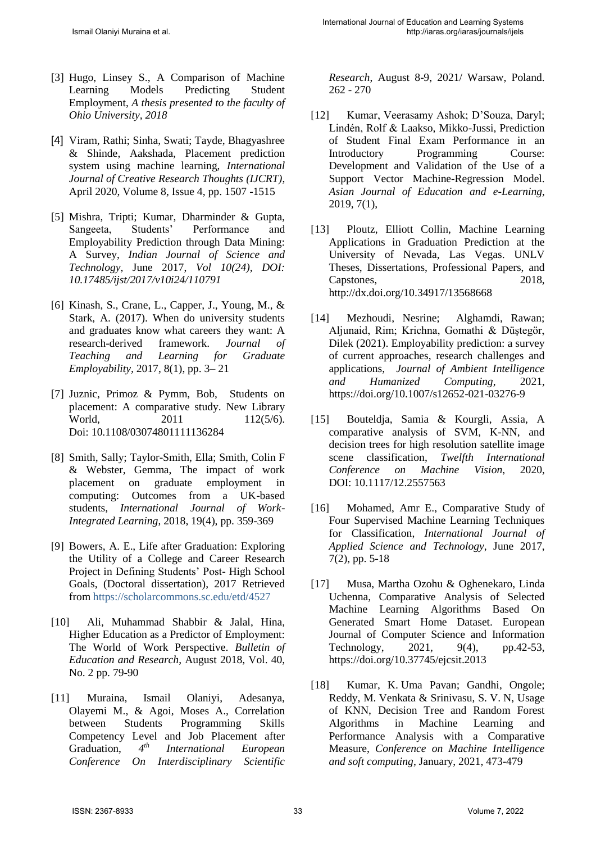- [3] Hugo, Linsey S., A Comparison of Machine Learning Models Predicting Student Employment, *A thesis presented to the faculty of Ohio University, 2018*
- [4] Viram, Rathi; Sinha, Swati; Tayde, Bhagyashree & Shinde, Aakshada, Placement prediction system using machine learning, *International Journal of Creative Research Thoughts (IJCRT)*, April 2020, Volume 8, Issue 4, pp. 1507 -1515
- [5] Mishra, Tripti; Kumar, Dharminder & Gupta, Sangeeta, Students' Performance and Employability Prediction through Data Mining: A Survey, *Indian Journal of Science and Technology*, June 2017, *Vol 10(24), DOI: 10.17485/ijst/2017/v10i24/110791*
- [6] Kinash, S., Crane, L., Capper, J., Young, M., & Stark, A. (2017). When do university students and graduates know what careers they want: A research-derived framework. *Journal of Teaching and Learning for Graduate Employability,* 2017, 8(1), pp. 3– 21
- [7] Juznic, Primoz & Pymm, Bob, Students on placement: A comparative study. New Library World, 2011 112(5/6). Doi: [10.1108/03074801111136284](http://dx.doi.org/10.1108/03074801111136284)
- [8] Smith, Sally; Taylor-Smith, Ella; Smith, Colin F & Webster, Gemma, The impact of work placement on graduate employment in computing: Outcomes from a UK-based students, *International Journal of Work-Integrated Learning*, 2018, 19(4), pp. 359-369
- [9] Bowers, A. E., Life after Graduation: Exploring the Utility of a College and Career Research Project in Defining Students' Post- High School Goals, (Doctoral dissertation), 2017 Retrieved from https://scholarcommons.sc.edu/etd/4527
- [10] Ali, Muhammad Shabbir & Jalal, Hina, Higher Education as a Predictor of Employment: The World of Work Perspective. *Bulletin of Education and Research*, August 2018, Vol. 40, No. 2 pp. 79-90
- [11] Muraina, Ismail Olaniyi, Adesanya, Olayemi M., & Agoi, Moses A., Correlation between Students Programming Skills Competency Level and Job Placement after Graduation.  $4^{th}$ *th International European Conference On Interdisciplinary Scientific*

*Research*, August 8-9, 2021/ Warsaw, Poland. 262 - 270

- [12] Kumar, Veerasamy Ashok; D'Souza, Daryl; Lindén, Rolf & Laakso, Mikko-Jussi, Prediction of Student Final Exam Performance in an Introductory Programming Course: Development and Validation of the Use of a Support Vector Machine-Regression Model. *Asian Journal of Education and e-Learning*, 2019, 7(1),
- [13] Ploutz, Elliott Collin, Machine Learning Applications in Graduation Prediction at the University of Nevada, Las Vegas. UNLV Theses, Dissertations, Professional Papers, and Capstones, 2018, <http://dx.doi.org/10.34917/13568668>
- [14] Mezhoudi, Nesrine; Alghamdi, Rawan; Aljunaid, Rim; Krichna, Gomathi & Düştegör, Dilek (2021). Employability prediction: a survey of current approaches, research challenges and applications, *Journal of Ambient Intelligence and Humanized Computing*, 2021, https://doi.org/10.1007/s12652-021-03276-9
- [15] Bouteldja, Samia & Kourgli, Assia, A comparative analysis of SVM, K-NN, and decision trees for high resolution satellite image scene classification, *Twelfth International Conference on Machine Vision*, 2020, DOI: 10.1117/12.2557563
- [16] Mohamed, Amr E., Comparative Study of Four Supervised Machine Learning Techniques for Classification, *International Journal of Applied Science and Technology*, June 2017, 7(2), pp. 5-18
- [17] Musa, Martha Ozohu & Oghenekaro, Linda Uchenna, Comparative Analysis of Selected Machine Learning Algorithms Based On Generated Smart Home Dataset. European Journal of Computer Science and Information Technology, 2021, 9(4), pp.42-53, https://doi.org/10.37745/ejcsit.2013
- [18] Kumar, K. Uma Pavan; Gandhi, Ongole; Reddy, M. Venkata & Srinivasu, S. V. N, Usage of KNN, Decision Tree and Random Forest Algorithms in Machine Learning and Performance Analysis with a Comparative Measure, *Conference on Machine Intelligence and soft computing*, January, 2021, 473-479